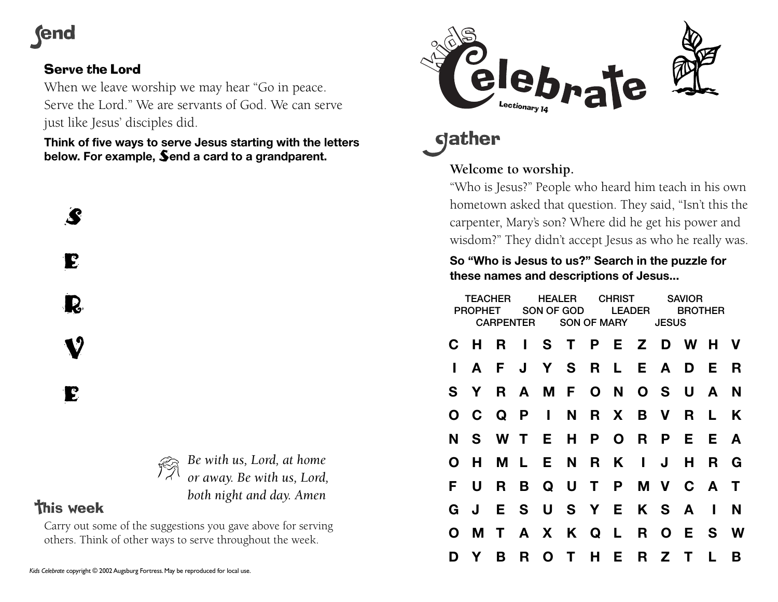# **rend**

## Serve the Lord

When we leave worship we may hear "Go in peace. Serve the Lord." We are servants of God. We can serve just like Jesus' disciples did.

**Think of five ways to serve Jesus starting with the letters below. For example,** S**end a card to a grandparent.**

S E **R** 

**v** 

E

## *Be with us, Lord, at home or away. Be with us, Lord, both night and day. Amen*

# **This week**

Carry out some of the suggestions you gave above for serving others. Think of other ways to serve throughout the week.



**gather** 

## **Welcome to worship.**

"Who is Jesus?" People who heard him teach in his own hometown asked that question. They said, "Isn't this the carpenter, Mary's son? Where did he get his power and wisdom?" They didn't accept Jesus as who he really was.

#### **So "Who is Jesus to us?" Search in the puzzle for these names and descriptions of Jesus...**

|              | <b>TFACHER</b><br><b>PROPHET</b> |    | <b>HFAIFR</b><br>SON OF GOD<br><b>CARPENTER</b> |  |  | <b>CHRIST</b><br><b>LEADER</b><br><b>SON OF MARY</b> |  |              | SAVIOR<br><b>BROTHER</b><br><b>JESUS</b> |              |   |
|--------------|----------------------------------|----|-------------------------------------------------|--|--|------------------------------------------------------|--|--------------|------------------------------------------|--------------|---|
|              | C H R I S T P E Z D W H V        |    |                                                 |  |  |                                                      |  |              |                                          |              |   |
| $\mathbf{L}$ | $\mathbf{A}$                     |    | F J Y S R L E A D E                             |  |  |                                                      |  |              |                                          |              | R |
| S.           | Y.                               |    | R A M F O N O S U A                             |  |  |                                                      |  |              |                                          |              | N |
|              | O C Q P I N R X B V R L          |    |                                                 |  |  |                                                      |  |              |                                          |              | K |
| N            |                                  |    | S W T E H P O R P E E A                         |  |  |                                                      |  |              |                                          |              |   |
| O            | H                                |    | M L E N R K I                                   |  |  |                                                      |  | $\mathbf{J}$ | H                                        | R G          |   |
| F.           | U                                | R. | B Q U T P M V C A T                             |  |  |                                                      |  |              |                                          |              |   |
| G.           | J                                |    | E S U S Y E K S A                               |  |  |                                                      |  |              |                                          | $\mathbf{I}$ | N |
| $\mathbf{O}$ | M T A X K Q L R O E S            |    |                                                 |  |  |                                                      |  |              |                                          |              | W |
| D            | Y                                | B  | R O T H E R Z T                                 |  |  |                                                      |  |              |                                          |              | B |